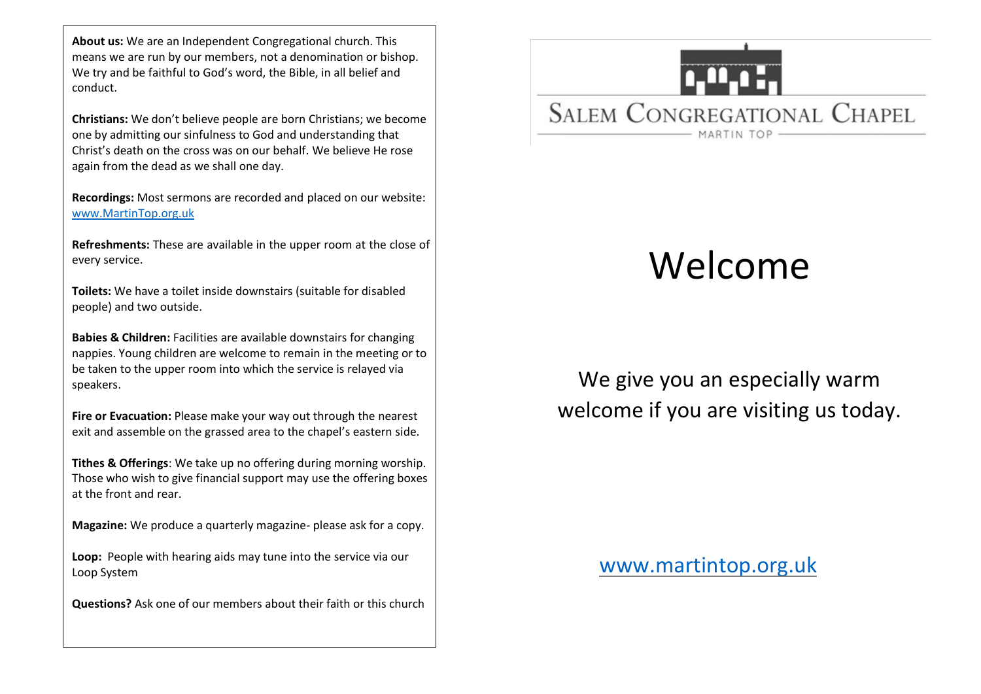**About us:** We are an Independent Congregational church. This means we are run by our members, not a denomination or bishop. We try and be faithful to God's word, the Bible, in all belief and conduct.

**Christians:** We don't believe people are born Christians; we become one by admitting our sinfulness to God and understanding that Christ's death on the cross was on our behalf. We believe He rose again from the dead as we shall one day.

**Recordings:** Most sermons are recorded and placed on our website: [www.MartinTop.org.uk](http://www.martintop.org.uk/)

**Refreshments:** These are available in the upper room at the close of every service.

**Toilets:** We have a toilet inside downstairs (suitable for disabled people) and two outside.

**Babies & Children:** Facilities are available downstairs for changing nappies. Young children are welcome to remain in the meeting or to be taken to the upper room into which the service is relayed via speakers.

**Fire or Evacuation:** Please make your way out through the nearest exit and assemble on the grassed area to the chapel's eastern side.

**Tithes & Offerings**: We take up no offering during morning worship. Those who wish to give financial support may use the offering boxes at the front and rear.

**Magazine:** We produce a quarterly magazine- please ask for a copy.

**Loop:** People with hearing aids may tune into the service via our Loop System

**Questions?** Ask one of our members about their faith or this church

# **SALEM CONGREGATIONAL CHAPEL** MARTIN TOP -

## Welcome

We give you an especially warm welcome if you are visiting us today.

[www.martintop.org.uk](http://www.martintop.org.uk/)